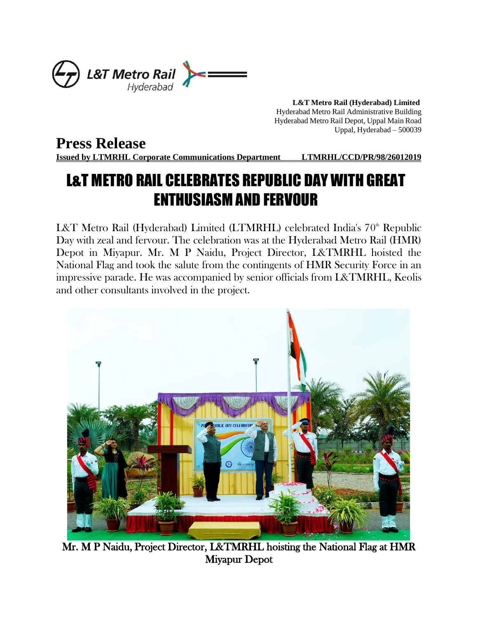

 **L&T Metro Rail (Hyderabad) Limited** Hyderabad Metro Rail Administrative Building Hyderabad Metro Rail Depot, Uppal Main Road Uppal, Hyderabad – 500039

## **Press Release**

**Issued by LTMRHL Corporate Communications Department LTMRHL/CCD/PR/98/26012019**

## L&T METRO RAIL CELEBRATES REPUBLIC DAY WITH GREAT ENTHUSIASM AND FERVOUR

L&T Metro Rail (Hyderabad) Limited (LTMRHL) celebrated India's 70<sup>th</sup> Republic Day with zeal and fervour. The celebration was at the Hyderabad Metro Rail (HMR) Depot in Miyapur. Mr. M P Naidu, Project Director, L&TMRHL hoisted the National Flag and took the salute from the contingents of HMR Security Force in an impressive parade. He was accompanied by senior officials from L&TMRHL, Keolis and other consultants involved in the project.



 Mr. M P Naidu, Project Director, L&TMRHL hoisting the National Flag at HMR Miyapur Depot